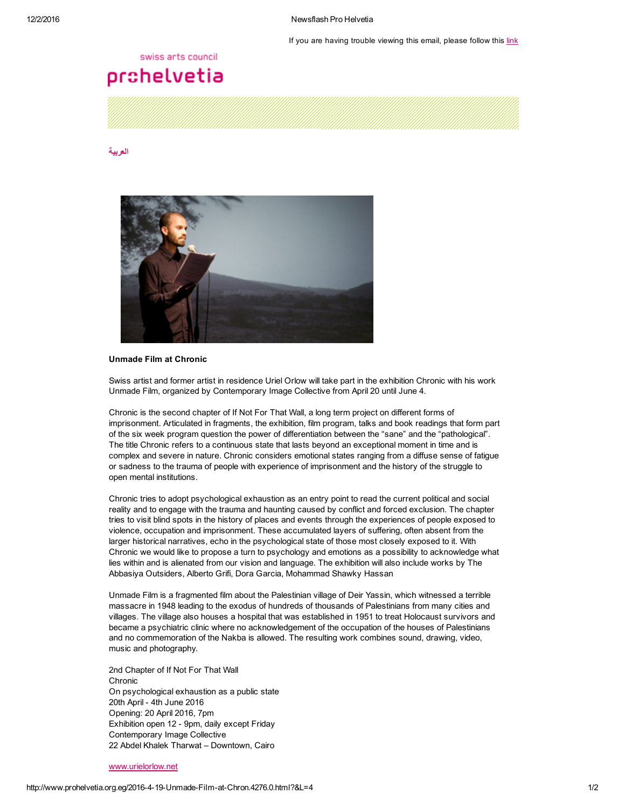If you are having trouble viewing this email, please follow this [link](http://www.prohelvetia.org.eg/4276.0.html?&showInBrowserView=1)

### swiss arts council

# prohelvetia

#### [العربية](http://www.prohelvetia.org.eg/4275.0.html)



## Unmade Film at Chronic

Swiss artist and former artist in residence Uriel Orlow will take part in the exhibition Chronic with his work Unmade Film, organized by Contemporary Image Collective from April 20 until June 4.

Chronic is the second chapter of If Not For That Wall, a long term project on different forms of imprisonment. Articulated in fragments, the exhibition, film program, talks and book readings that form part of the six week program question the power of differentiation between the "sane" and the "pathological". The title Chronic refers to a continuous state that lasts beyond an exceptional moment in time and is complex and severe in nature. Chronic considers emotional states ranging from a diffuse sense of fatigue or sadness to the trauma of people with experience of imprisonment and the history of the struggle to open mental institutions.

Chronic tries to adopt psychological exhaustion as an entry point to read the current political and social reality and to engage with the trauma and haunting caused by conflict and forced exclusion. The chapter tries to visit blind spots in the history of places and events through the experiences of people exposed to violence, occupation and imprisonment. These accumulated layers of suffering, often absent from the larger historical narratives, echo in the psychological state of those most closely exposed to it. With Chronic we would like to propose a turn to psychology and emotions as a possibility to acknowledge what lies within and is alienated from our vision and language. The exhibition will also include works by The Abbasiya Outsiders, Alberto Grifi, Dora Garcia, Mohammad Shawky Hassan

Unmade Film is a fragmented film about the Palestinian village of Deir Yassin, which witnessed a terrible massacre in 1948 leading to the exodus of hundreds of thousands of Palestinians from many cities and villages. The village also houses a hospital that was established in 1951 to treat Holocaust survivors and became a psychiatric clinic where no acknowledgement of the occupation of the houses of Palestinians and no commemoration of the Nakba is allowed. The resulting work combines sound, drawing, video, music and photography.

2nd Chapter of If Not For That Wall Chronic On psychological exhaustion as a public state 20th April - 4th June 2016 Opening: 20 April 2016, 7pm Exhibition open 12 - 9pm, daily except Friday Contemporary Image Collective 22 Abdel Khalek Tharwat – Downtown, Cairo

#### [www.urielorlow.net](http://www.urielorlow.net/)